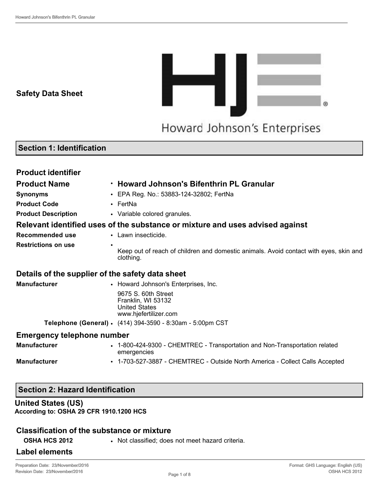**Safety Data Sheet**



## **Section 1: Identification**

| <b>Product identifier</b>                        |                                                                                                    |
|--------------------------------------------------|----------------------------------------------------------------------------------------------------|
| <b>Product Name</b>                              | . Howard Johnson's Bifenthrin PL Granular                                                          |
| <b>Synonyms</b>                                  | • EPA Reg. No.: 53883-124-32802; FertNa                                                            |
| <b>Product Code</b>                              | $\cdot$ FertNa                                                                                     |
| <b>Product Description</b>                       | • Variable colored granules.                                                                       |
|                                                  | Relevant identified uses of the substance or mixture and uses advised against                      |
| <b>Recommended use</b>                           | • Lawn insecticide.                                                                                |
| <b>Restrictions on use</b>                       | Keep out of reach of children and domestic animals. Avoid contact with eyes, skin and<br>clothing. |
| Details of the supplier of the safety data sheet |                                                                                                    |
| <b>Manufacturer</b>                              | • Howard Johnson's Enterprises, Inc.                                                               |
|                                                  | 9675 S. 60th Street<br>Franklin, WI 53132<br><b>United States</b><br>www.hjefertilizer.com         |
|                                                  | Telephone (General) • (414) 394-3590 - 8:30am - 5:00pm CST                                         |
| <b>Emergency telephone number</b>                |                                                                                                    |
| <b>Manufacturer</b>                              | • 1-800-424-9300 - CHEMTREC - Transportation and Non-Transportation related<br>emergencies         |
| <b>Manufacturer</b>                              | • 1-703-527-3887 - CHEMTREC - Outside North America - Collect Calls Accepted                       |

## **Section 2: Hazard Identification**

#### **United States (US)**

**According to: OSHA 29 CFR 1910.1200 HCS**

#### **Classification of the substance or mixture**

**OSHA HCS 2012** • Not classified; does not meet hazard criteria.

#### **Label elements**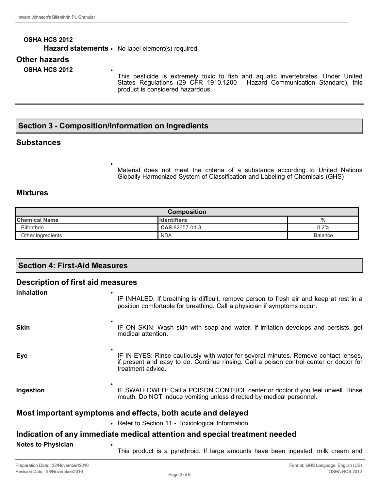# **OSHA HCS 2012** Hazard statements · No label element(s) required **Other hazards OSHA HCS 2012** •

This pesticide is extremely toxic to fish and aquatic invertebrates. Under United States Regulations (29 CFR 1910.1200 - Hazard Communication Standard), this product is considered hazardous.

# **Section 3 - Composition/Information on Ingredients**

•

#### **Substances**

Material does not meet the criteria of a substance according to United Nations Globally Harmonized System of Classification and Labeling of Chemicals (GHS)

## **Mixtures**

| <b>Composition</b>     |                     |         |
|------------------------|---------------------|---------|
| <b>I</b> Chemical Name | <u>Ildentifiers</u> | 70      |
| <b>Bifenthrin</b>      | CAS:82657-04-3      | 0.2%    |
| Other ingredients      | <b>NDA</b>          | Balance |

| <b>Section 4: First-Aid Measures</b>                                       |                                                                                                                                                                                                     |  |  |
|----------------------------------------------------------------------------|-----------------------------------------------------------------------------------------------------------------------------------------------------------------------------------------------------|--|--|
|                                                                            | <b>Description of first aid measures</b>                                                                                                                                                            |  |  |
| <b>Inhalation</b>                                                          | IF INHALED: If breathing is difficult, remove person to fresh air and keep at rest in a<br>position comfortable for breathing. Call a physician if symptoms occur.                                  |  |  |
| <b>Skin</b>                                                                | IF ON SKIN: Wash skin with soap and water. If irritation develops and persists, get<br>medical attention.                                                                                           |  |  |
| Eye                                                                        | IF IN EYES: Rinse cautiously with water for several minutes. Remove contact lenses,<br>if present and easy to do. Continue rinsing. Call a poison control center or doctor for<br>treatment advice. |  |  |
| Ingestion                                                                  | IF SWALLOWED: Call a POISON CONTROL center or doctor if you feel unwell. Rinse<br>mouth. Do NOT induce vomiting unless directed by medical personnel.                                               |  |  |
| Most important symptoms and effects, both acute and delayed                |                                                                                                                                                                                                     |  |  |
|                                                                            | • Refer to Section 11 - Toxicological Information.                                                                                                                                                  |  |  |
| Indication of any immediate medical attention and special treatment needed |                                                                                                                                                                                                     |  |  |
| <b>Notes to Physician</b>                                                  | This product is a pyrethroid. If large amounts have been ingested, milk cream and                                                                                                                   |  |  |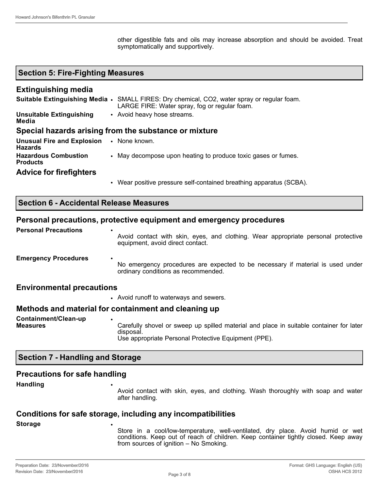other digestible fats and oils may increase absorption and should be avoided. Treat symptomatically and supportively.

## **Section 5: Fire-Fighting Measures**

#### **Extinguishing media**

|                                                                   | Suitable Extinguishing Media • SMALL FIRES: Dry chemical, CO2, water spray or regular foam.<br>LARGE FIRE: Water spray, fog or regular foam. |  |
|-------------------------------------------------------------------|----------------------------------------------------------------------------------------------------------------------------------------------|--|
| Unsuitable Extinguishing<br>Media                                 | • Avoid heavy hose streams.                                                                                                                  |  |
| Special hazards arising from the substance or mixture             |                                                                                                                                              |  |
| <b>Unusual Fire and Explosion • None known.</b><br><b>Hazards</b> |                                                                                                                                              |  |

| ı ıazaı uə                              |                                                             |
|-----------------------------------------|-------------------------------------------------------------|
| <b>Hazardous Combustion</b><br>Products | May decompose upon heating to produce toxic gases or fumes. |
| <b>Advice for firefighters</b>          |                                                             |

• Wear positive pressure self-contained breathing apparatus (SCBA).

#### **Personal precautions, protective equipment and emergency procedures**

| <b>Personal Precautions</b>      | $\bullet$<br>Avoid contact with skin, eyes, and clothing. Wear appropriate personal protective<br>equipment, avoid direct contact. |
|----------------------------------|------------------------------------------------------------------------------------------------------------------------------------|
| <b>Emergency Procedures</b>      | ٠<br>No emergency procedures are expected to be necessary if material is used under<br>ordinary conditions as recommended.         |
| <b>Environmental precautions</b> |                                                                                                                                    |
|                                  | • Avoid runoff to waterways and sewers.                                                                                            |

#### **Methods and material for containment and cleaning up**

| Containment/Clean-up |                                                                                                      |
|----------------------|------------------------------------------------------------------------------------------------------|
| <b>Measures</b>      | Carefully shovel or sweep up spilled material and place in suitable container for later<br>disposal. |
|                      | Use appropriate Personal Protective Equipment (PPE).                                                 |

#### **Section 7 - Handling and Storage**

#### **Precautions for safe handling**

**Handling** •

Avoid contact with skin, eyes, and clothing. Wash thoroughly with soap and water after handling.

# **Conditions for safe storage, including any incompatibilities**

**Storage** •

Store in a cool/low-temperature, well-ventilated, dry place. Avoid humid or wet conditions. Keep out of reach of children. Keep container tightly closed. Keep away from sources of ignition – No Smoking.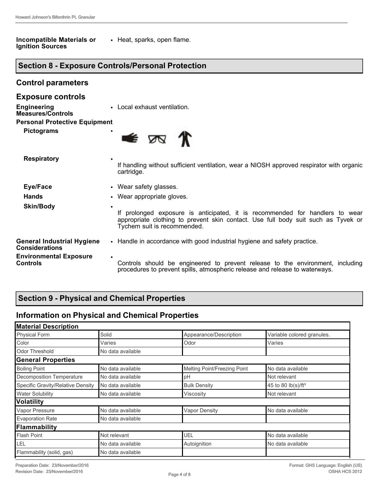**Control parameters**

#### **Incompatible Materials or Ignition Sources** • Heat, sparks, open flame.

# **Section 8 - Exposure Controls/Personal Protection**

| <b>Exposure controls</b>                                   |                                                                                                                                                                                                  |  |
|------------------------------------------------------------|--------------------------------------------------------------------------------------------------------------------------------------------------------------------------------------------------|--|
| <b>Engineering</b><br><b>Measures/Controls</b>             | • Local exhaust ventilation.                                                                                                                                                                     |  |
| <b>Personal Protective Equipment</b>                       |                                                                                                                                                                                                  |  |
| <b>Pictograms</b>                                          | ٠<br>€ ⊠                                                                                                                                                                                         |  |
| <b>Respiratory</b>                                         | If handling without sufficient ventilation, wear a NIOSH approved respirator with organic<br>cartridge.                                                                                          |  |
| Eye/Face                                                   | • Wear safety glasses.                                                                                                                                                                           |  |
| <b>Hands</b>                                               | • Wear appropriate gloves.                                                                                                                                                                       |  |
| <b>Skin/Body</b>                                           | If prolonged exposure is anticipated, it is recommended for handlers to wear<br>appropriate clothing to prevent skin contact. Use full body suit such as Tyvek or<br>Tychem suit is recommended. |  |
| <b>General Industrial Hygiene</b><br><b>Considerations</b> | • Handle in accordance with good industrial hygiene and safety practice.                                                                                                                         |  |
| <b>Environmental Exposure</b><br><b>Controls</b>           | ٠<br>Controls should be engineered to prevent release to the environment, including<br>procedures to prevent spills, atmospheric release and release to waterways.                               |  |

# **Section 9 - Physical and Chemical Properties**

# **Information on Physical and Chemical Properties**

| <b>Material Description</b> |                              |                                |
|-----------------------------|------------------------------|--------------------------------|
| Solid                       | Appearance/Description       | Variable colored granules.     |
| Varies                      | Odor                         | Varies                         |
| No data available           |                              |                                |
|                             |                              |                                |
| No data available           | Melting Point/Freezing Point | No data available              |
| No data available           | pH                           | Not relevant                   |
| No data available           | <b>Bulk Density</b>          | 45 to 80 lb(s)/ft <sup>3</sup> |
| No data available           | Viscosity                    | Not relevant                   |
|                             |                              |                                |
| No data available           | <b>Vapor Density</b>         | No data available              |
| No data available           |                              |                                |
| Flammability                |                              |                                |
| Not relevant                | UEL                          | No data available              |
| No data available           | Autoignition                 | No data available              |
| No data available           |                              |                                |
|                             |                              |                                |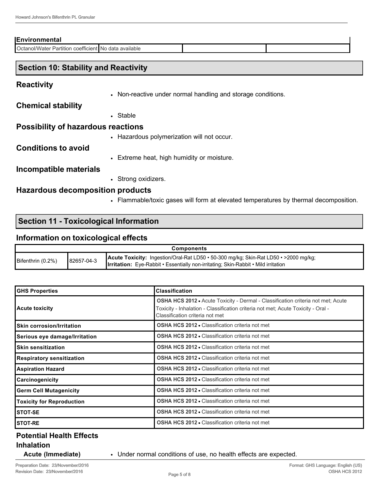#### **Environmental**

Octanol/Water Partition coefficient No data available

#### **Section 10: Stability and Reactivity**

#### **Reactivity**

• Non-reactive under normal handling and storage conditions.

**Chemical stability**

• Stable

## **Possibility of hazardous reactions**

• Hazardous polymerization will not occur.

#### **Conditions to avoid**

• Extreme heat, high humidity or moisture.

#### **Incompatible materials**

• Strong oxidizers.

#### **Hazardous decomposition products**

• Flammable/toxic gases will form at elevated temperatures by thermal decomposition.

## **Section 11 - Toxicological Information**

#### **Information on toxicological effects**

| <b>Components</b> |            |                                                                                                                                                                                          |
|-------------------|------------|------------------------------------------------------------------------------------------------------------------------------------------------------------------------------------------|
| Bifenthrin (0.2%) | 82657-04-3 | <b>Acute Toxicity:</b> Ingestion/Oral-Rat LD50 • 50-300 mg/kg; Skin-Rat LD50 • >2000 mg/kg;<br><b>Irritation:</b> Eye-Rabbit • Essentially non-irritating; Skin-Rabbit • Mild irritation |

| <b>GHS Properties</b>            | <b>Classification</b>                                                                                                                                                                                   |
|----------------------------------|---------------------------------------------------------------------------------------------------------------------------------------------------------------------------------------------------------|
| <b>Acute toxicity</b>            | OSHA HCS 2012 · Acute Toxicity - Dermal - Classification criteria not met; Acute<br>Toxicity - Inhalation - Classification criteria not met; Acute Toxicity - Oral -<br>Classification criteria not met |
| <b>Skin corrosion/Irritation</b> | <b>OSHA HCS 2012 • Classification criteria not met</b>                                                                                                                                                  |
| Serious eye damage/Irritation    | <b>OSHA HCS 2012 • Classification criteria not met</b>                                                                                                                                                  |
| <b>Skin sensitization</b>        | <b>OSHA HCS 2012 • Classification criteria not met</b>                                                                                                                                                  |
| <b>Respiratory sensitization</b> | <b>OSHA HCS 2012 • Classification criteria not met</b>                                                                                                                                                  |
| <b>Aspiration Hazard</b>         | <b>OSHA HCS 2012 • Classification criteria not met</b>                                                                                                                                                  |
| Carcinogenicity                  | <b>OSHA HCS 2012 • Classification criteria not met</b>                                                                                                                                                  |
| <b>Germ Cell Mutagenicity</b>    | <b>OSHA HCS 2012 • Classification criteria not met</b>                                                                                                                                                  |
| <b>Toxicity for Reproduction</b> | <b>OSHA HCS 2012 • Classification criteria not met</b>                                                                                                                                                  |
| <b>STOT-SE</b>                   | <b>OSHA HCS 2012 • Classification criteria not met</b>                                                                                                                                                  |
| <b>STOT-RE</b>                   | <b>OSHA HCS 2012 • Classification criteria not met</b>                                                                                                                                                  |

# **Potential Health Effects Inhalation**

**Acute (Immediate)** • Under normal conditions of use, no health effects are expected.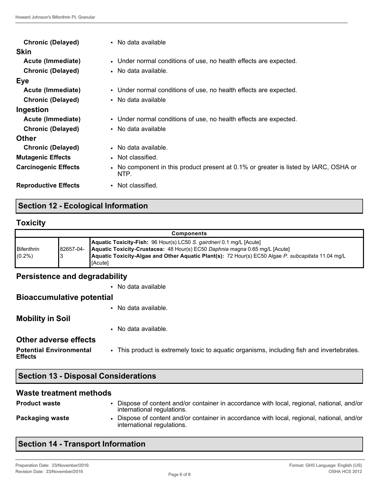| <b>Chronic (Delayed)</b><br><b>Skin</b> | • No data available                                                                          |
|-----------------------------------------|----------------------------------------------------------------------------------------------|
| Acute (Immediate)                       | • Under normal conditions of use, no health effects are expected.                            |
| <b>Chronic (Delayed)</b>                | • No data available.                                                                         |
| Eye                                     |                                                                                              |
| Acute (Immediate)                       | • Under normal conditions of use, no health effects are expected.                            |
| <b>Chronic (Delayed)</b>                | • No data available                                                                          |
| Ingestion                               |                                                                                              |
| Acute (Immediate)                       | • Under normal conditions of use, no health effects are expected.                            |
| <b>Chronic (Delayed)</b>                | • No data available                                                                          |
| <b>Other</b>                            |                                                                                              |
| <b>Chronic (Delayed)</b>                | • No data available.                                                                         |
| <b>Mutagenic Effects</b>                | • Not classified.                                                                            |
| <b>Carcinogenic Effects</b>             | • No component in this product present at 0.1% or greater is listed by IARC, OSHA or<br>NTP. |
| <b>Reproductive Effects</b>             | • Not classified.                                                                            |

## **Section 12 - Ecological Information**

## **Toxicity**

| <b>Components</b> |            |                                                                                                    |  |
|-------------------|------------|----------------------------------------------------------------------------------------------------|--|
|                   |            | Aquatic Toxicity-Fish: 96 Hour(s) LC50 S. gairdneri 0.1 mg/L [Acute]                               |  |
| Bifenthrin        | 182657-04- | Aquatic Toxicity-Crustacea: 48 Hour(s) EC50 Daphnia magna 0.65 mg/L [Acute]                        |  |
| $(0.2\%)$         |            | Aquatic Toxicity-Algae and Other Aquatic Plant(s): 72 Hour(s) EC50 Algae P. subcapitata 11.04 mg/L |  |
|                   |            | [Acute]                                                                                            |  |

## **Persistence and degradability**

• No data available

## **Bioaccumulative potential**

• No data available.

## **Mobility in Soil**

• No data available.

#### **Other adverse effects**

**Potential Environmental Effects** • This product is extremely toxic to aquatic organisms, including fish and invertebrates.

#### **Waste treatment methods**

| <b>Product waste</b> | Dispose of content and/or container in accordance with local, regional, national, and/or<br>international regulations. |
|----------------------|------------------------------------------------------------------------------------------------------------------------|
| Packaging waste      | Dispose of content and/or container in accordance with local, regional, national, and/or<br>international regulations. |

# **Section 14 - Transport Information**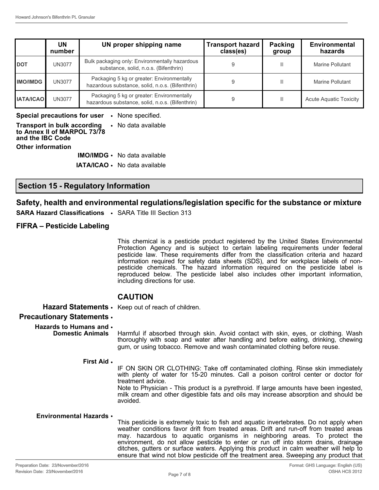|                  | UN<br>number  | UN proper shipping name                                                                       | <b>Transport hazard</b><br>class(es) | Packing<br>group | <b>Environmental</b><br>hazards |
|------------------|---------------|-----------------------------------------------------------------------------------------------|--------------------------------------|------------------|---------------------------------|
| <b>DOT</b>       | UN3077        | Bulk packaging only: Environmentally hazardous<br>substance, solid, n.o.s. (Bifenthrin)       |                                      |                  | Marine Pollutant                |
| <b>IMO/IMDG</b>  | <b>UN3077</b> | Packaging 5 kg or greater: Environmentally<br>hazardous substance, solid, n.o.s. (Bifenthrin) |                                      |                  | Marine Pollutant                |
| <b>IATA/ICAO</b> | <b>UN3077</b> | Packaging 5 kg or greater: Environmentally<br>hazardous substance, solid, n.o.s. (Bifenthrin) |                                      |                  | <b>Acute Aquatic Toxicity</b>   |

**Special precautions for user** • None specified. **Transport in bulk according to Annex II of MARPOL 73/78 and the IBC Code** • No data available **Other information IMO/IMDG** • No data available

**IATA/ICAO** • No data available

#### **Section 15 - Regulatory Information**

#### **Safety, health and environmental regulations/legislation specific for the substance or mixture**

**SARA Hazard Classifications** • SARA Title III Section 313

#### **FIFRA – Pesticide Labeling**

This chemical is a pesticide product registered by the United States Environmental Protection Agency and is subject to certain labeling requirements under federal pesticide law. These requirements differ from the classification criteria and hazard information required for safety data sheets (SDS), and for workplace labels of nonpesticide chemicals. The hazard information required on the pesticide label is reproduced below. The pesticide label also includes other important information, including directions for use.

#### **CAUTION**

**Hazard Statements** • Keep out of reach of children.

#### **Precautionary Statements** •

**Hazards to Humans and**  • **Domestic Animals**

Harmful if absorbed through skin. Avoid contact with skin, eyes, or clothing. Wash thoroughly with soap and water after handling and before eating, drinking, chewing gum, or using tobacco. Remove and wash contaminated clothing before reuse.

#### **First Aid** •

IF ON SKIN OR CLOTHING: Take off contaminated clothing. Rinse skin immediately with plenty of water for 15-20 minutes. Call a poison control center or doctor for treatment advice.

Note to Physician - This product is a pyrethroid. If large amounts have been ingested, milk cream and other digestible fats and oils may increase absorption and should be avoided.

#### **Environmental Hazards** •

This pesticide is extremely toxic to fish and aquatic invertebrates. Do not apply when weather conditions favor drift from treated areas. Drift and run-off from treated areas may. hazardous to aquatic organisms in neighboring areas. To protect the environment, do not allow pesticide to enter or run off into storm drains, drainage ditches, gutters or surface waters. Applying this product in calm weather will help to ensure that wind not blow pesticide off the treatment area. Sweeping any product that